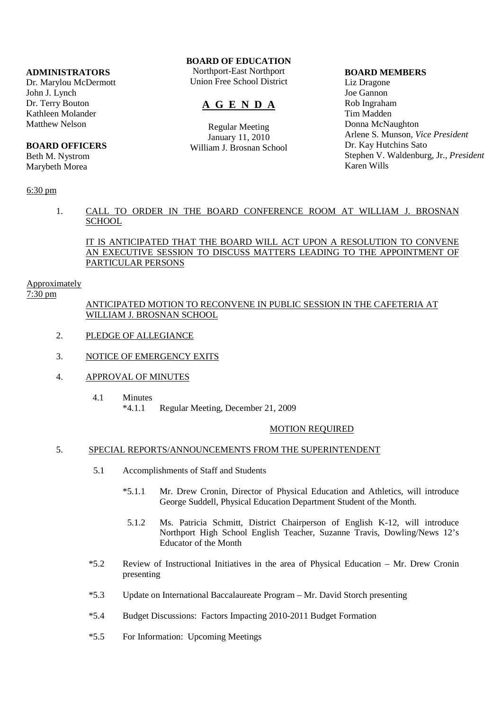## **ADMINISTRATORS**

Dr. Marylou McDermott John J. Lynch Dr. Terry Bouton Kathleen Molander Matthew Nelson

## **BOARD OFFICERS**

Beth M. Nystrom Marybeth Morea

## 6:30 pm

## **BOARD OF EDUCATION**

Northport-East Northport Union Free School District

# **A G E N D A**

Regular Meeting January 11, 2010 William J. Brosnan School

#### **BOARD MEMBERS**

Liz Dragone Joe Gannon Rob Ingraham Tim Madden Donna McNaughton Arlene S. Munson, *Vice President* Dr. Kay Hutchins Sato Stephen V. Waldenburg, Jr., *President* Karen Wills

## 1. CALL TO ORDER IN THE BOARD CONFERENCE ROOM AT WILLIAM J. BROSNAN **SCHOOL**

## IT IS ANTICIPATED THAT THE BOARD WILL ACT UPON A RESOLUTION TO CONVENE AN EXECUTIVE SESSION TO DISCUSS MATTERS LEADING TO THE APPOINTMENT OF PARTICULAR PERSONS

#### Approximately

7:30 pm

## ANTICIPATED MOTION TO RECONVENE IN PUBLIC SESSION IN THE CAFETERIA AT WILLIAM J. BROSNAN SCHOOL

- 2. PLEDGE OF ALLEGIANCE
- 3. NOTICE OF EMERGENCY EXITS
- 4. APPROVAL OF MINUTES
	- 4.1 Minutes \*4.1.1 Regular Meeting, December 21, 2009

#### MOTION REQUIRED

## 5. SPECIAL REPORTS/ANNOUNCEMENTS FROM THE SUPERINTENDENT

- 5.1 Accomplishments of Staff and Students
	- \*5.1.1 Mr. Drew Cronin, Director of Physical Education and Athletics, will introduce George Suddell, Physical Education Department Student of the Month.
	- 5.1.2 Ms. Patricia Schmitt, District Chairperson of English K-12, will introduce Northport High School English Teacher, Suzanne Travis, Dowling/News 12's Educator of the Month
- \*5.2 Review of Instructional Initiatives in the area of Physical Education Mr. Drew Cronin presenting
- \*5.3 Update on International Baccalaureate Program Mr. David Storch presenting
- \*5.4 Budget Discussions: Factors Impacting 2010-2011 Budget Formation
- \*5.5 For Information: Upcoming Meetings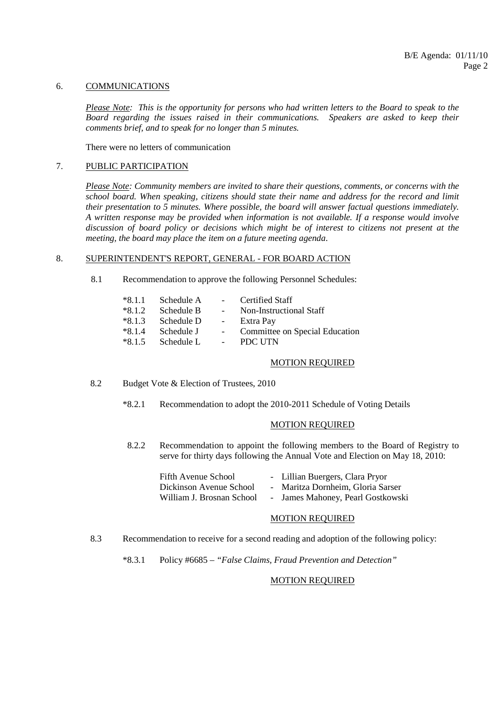#### 6. COMMUNICATIONS

*Please Note: This is the opportunity for persons who had written letters to the Board to speak to the Board regarding the issues raised in their communications. Speakers are asked to keep their comments brief, and to speak for no longer than 5 minutes.*

There were no letters of communication

### 7. PUBLIC PARTICIPATION

*Please Note: Community members are invited to share their questions, comments, or concerns with the school board. When speaking, citizens should state their name and address for the record and limit their presentation to 5 minutes. Where possible, the board will answer factual questions immediately. A written response may be provided when information is not available. If a response would involve discussion of board policy or decisions which might be of interest to citizens not present at the meeting, the board may place the item on a future meeting agenda*.

## 8. SUPERINTENDENT'S REPORT, GENERAL - FOR BOARD ACTION

8.1 Recommendation to approve the following Personnel Schedules:

| $*8.1.1$ | Schedule A   | $\Delta \sim 10^{-11}$ | Certified Staff                |
|----------|--------------|------------------------|--------------------------------|
| $*8.1.2$ | Schedule B   | $\sim 100$             | Non-Instructional Staff        |
| $*8.1.3$ | Schedule D   | $\omega_{\rm{max}}$    | Extra Pay                      |
| $*8.1.4$ | Schedule J   |                        | Committee on Special Education |
| $*8.1.5$ | - Schedule L |                        | - PDC UTN                      |

#### MOTION REQUIRED

8.2 Budget Vote & Election of Trustees, 2010

\*8.2.1 Recommendation to adopt the 2010-2011 Schedule of Voting Details

## MOTION REQUIRED

 8.2.2 Recommendation to appoint the following members to the Board of Registry to serve for thirty days following the Annual Vote and Election on May 18, 2010:

| Fifth Avenue School       | - Lillian Buergers, Clara Pryor   |  |
|---------------------------|-----------------------------------|--|
| Dickinson Avenue School   | - Maritza Dornheim, Gloria Sarser |  |
| William J. Brosnan School | - James Mahoney, Pearl Gostkowski |  |

#### MOTION REQUIRED

- 8.3 Recommendation to receive for a second reading and adoption of the following policy:
	- \*8.3.1 Policy #6685 *"False Claims, Fraud Prevention and Detection"*

## MOTION REQUIRED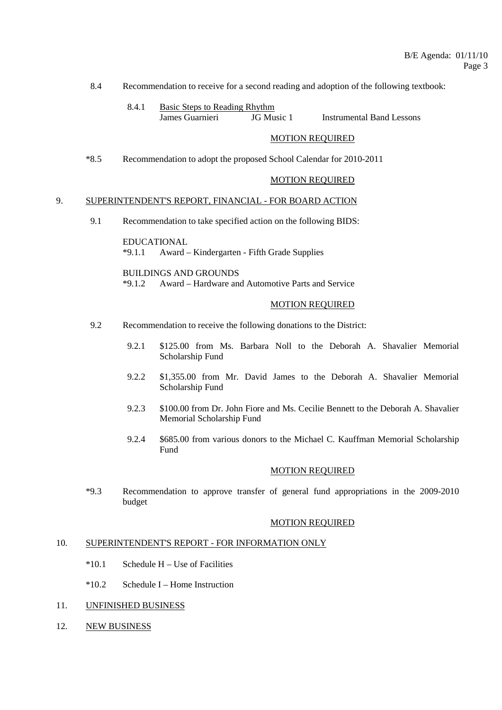8.4 Recommendation to receive for a second reading and adoption of the following textbook:

 8.4.1 Basic Steps to Reading Rhythm James Guarnieri JG Music 1 Instrumental Band Lessons

## MOTION REQUIRED

\*8.5 Recommendation to adopt the proposed School Calendar for 2010-2011

#### MOTION REQUIRED

#### 9. SUPERINTENDENT'S REPORT, FINANCIAL - FOR BOARD ACTION

9.1 Recommendation to take specified action on the following BIDS:

 EDUCATIONAL \*9.1.1 Award – Kindergarten - Fifth Grade Supplies

BUILDINGS AND GROUNDS

\*9.1.2 Award – Hardware and Automotive Parts and Service

### MOTION REQUIRED

- 9.2 Recommendation to receive the following donations to the District:
	- 9.2.1 \$125.00 from Ms. Barbara Noll to the Deborah A. Shavalier Memorial Scholarship Fund
	- 9.2.2 \$1,355.00 from Mr. David James to the Deborah A. Shavalier Memorial Scholarship Fund
	- 9.2.3 \$100.00 from Dr. John Fiore and Ms. Cecilie Bennett to the Deborah A. Shavalier Memorial Scholarship Fund
	- 9.2.4 \$685.00 from various donors to the Michael C. Kauffman Memorial Scholarship Fund

#### MOTION REQUIRED

 \*9.3 Recommendation to approve transfer of general fund appropriations in the 2009-2010 budget

## MOTION REQUIRED

#### 10. SUPERINTENDENT'S REPORT - FOR INFORMATION ONLY

- $*10.1$  Schedule H Use of Facilities
- \*10.2 Schedule I Home Instruction
- 11. UNFINISHED BUSINESS
- 12. NEW BUSINESS